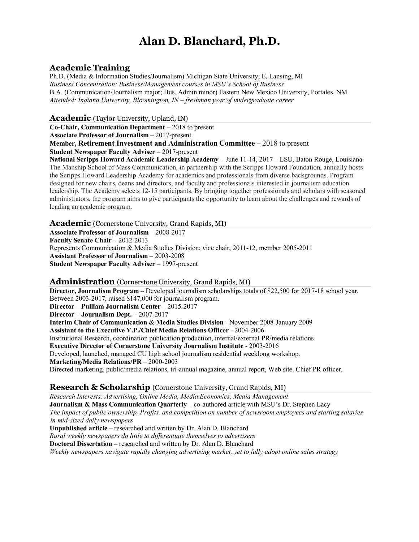# **Alan D. Blanchard, Ph.D.**

# **Academic Training**

Ph.D. (Media & Information Studies/Journalism) Michigan State University, E. Lansing, MI *Business Concentration: Business/Management courses in MSU's School of Business* B.A. (Communication/Journalism major; Bus. Admin minor) Eastern New Mexico University, Portales, NM *Attended: Indiana University, Bloomington, IN – freshman year of undergraduate career*

**Academic** (Taylor University, Upland, IN)

**Co-Chair, Communication Department** – 2018 to present

**Associate Professor of Journalism** – 2017-present

**Member, Retirement Investment and Administration Committee** – 2018 to present **Student Newspaper Faculty Adviser** – 2017-present

**National Scripps Howard Academic Leadership Academy** – June 11-14, 2017 – LSU, Baton Rouge, Louisiana. The Manship School of Mass Communication, in partnership with the Scripps Howard Foundation, annually hosts the Scripps Howard Leadership Academy for academics and professionals from diverse backgrounds. Program designed for new chairs, deans and directors, and faculty and professionals interested in journalism education leadership. The Academy selects 12-15 participants. By bringing together professionals and scholars with seasoned administrators, the program aims to give participants the opportunity to learn about the challenges and rewards of leading an academic program.

**Academic** (Cornerstone University, Grand Rapids, MI)

**Associate Professor of Journalism** – 2008-2017 **Faculty Senate Chair** – 2012-2013 Represents Communication & Media Studies Division; vice chair, 2011-12, member 2005-2011 **Assistant Professor of Journalism** – 2003-2008 **Student Newspaper Faculty Adviser** – 1997-present

#### **Administration** (Cornerstone University, Grand Rapids, MI)

**Director, Journalism Program** – Developed journalism scholarships totals of \$22,500 for 2017-18 school year. Between 2003-2017, raised \$147,000 for journalism program. **Director** – **Pulliam Journalism Center** – 2015-2017 **Director – Journalism Dept.** – 2007-2017 **Interim Chair of Communication & Media Studies Division** - November 2008-January 2009 **Assistant to the Executive V.P./Chief Media Relations Officer** - 2004-2006 Institutional Research, coordination publication production, internal/external PR/media relations. **Executive Director of Cornerstone University Journalism Institute** - 2003-2016 Developed, launched, managed CU high school journalism residential weeklong workshop. **Marketing/Media Relations/PR** – 2000-2003 Directed marketing, public/media relations, tri-annual magazine, annual report, Web site. Chief PR officer.

# **Research & Scholarship** (Cornerstone University, Grand Rapids, MI)

*Research Interests: Advertising, Online Media, Media Economics, Media Management* **Journalism & Mass Communication Quarterly** – co-authored article with MSU's Dr. Stephen Lacy *The impact of public ownership, Profits, and competition on number of newsroom employees and starting salaries in mid-sized daily newspapers* **Unpublished article** – researched and written by Dr. Alan D. Blanchard *Rural weekly newspapers do little to differentiate themselves to advertisers*

**Doctoral Dissertation –** researched and written by Dr. Alan D. Blanchard

*Weekly newspapers navigate rapidly changing advertising market, yet to fully adopt online sales strategy*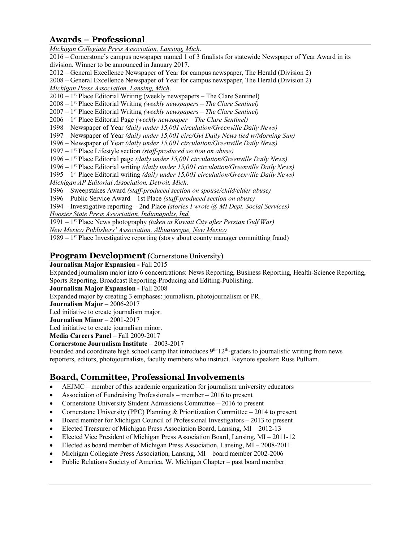# **Awards – Professional**

*Michigan Collegiate Press Association, Lansing, Mich*. 2016 – Cornerstone's campus newspaper named 1 of 3 finalists for statewide Newspaper of Year Award in its division. Winner to be announced in January 2017. 2012 – General Excellence Newspaper of Year for campus newspaper, The Herald (Division 2) 2008 – General Excellence Newspaper of Year for campus newspaper, The Herald (Division 2) *Michigan Press Association, Lansing, Mich*.  $2010 - 1$ <sup>st</sup> Place Editorial Writing (weekly newspapers – The Clare Sentinel) 2008 – 1st Place Editorial Writing *(weekly newspapers – The Clare Sentinel)* 2007 – 1st Place Editorial Writing *(weekly newspapers – The Clare Sentinel)* 2006 – 1st Place Editorial Page *(weekly newspaper – The Clare Sentinel)* 1998 – Newspaper of Year *(daily under 15,001 circulation/Greenville Daily News)* 1997 – Newspaper of Year *(daily under 15,001 circ/Gvl Daily News tied w/Morning Sun)* 1996 – Newspaper of Year *(daily under 15,001 circulation/Greenville Daily News)* 1997 – 1st Place Lifestyle section *(staff-produced section on abuse)* 1996 – 1st Place Editorial page *(daily under 15,001 circulation/Greenville Daily News)* 1996 – 1st Place Editorial writing *(daily under 15,001 circulation/Greenville Daily News)* 1995 – 1st Place Editorial writing *(daily under 15,001 circulation/Greenville Daily News) Michigan AP Editorial Association, Detroit, Mich.* 1996 – Sweepstakes Award *(staff-produced section on spouse/child/elder abuse)* 1996 – Public Service Award – 1st Place *(staff-produced section on abuse)* 1994 – Investigative reporting – 2nd Place *(stories I wrote @ MI Dept. Social Services) Hoosier State Press Association, Indianapolis, Ind.* 1991 – 1st Place News photography *(taken at Kuwait City after Persian Gulf War)*

*New Mexico Publishers' Association, Albuquerque, New Mexico*

1989 – 1st Place Investigative reporting (story about county manager committing fraud)

#### **Program Development** (Cornerstone University)

#### **Journalism Major Expansion -** Fall 2015

Expanded journalism major into 6 concentrations: News Reporting, Business Reporting, Health-Science Reporting, Sports Reporting, Broadcast Reporting-Producing and Editing-Publishing.

**Journalism Major Expansion -** Fall 2008

Expanded major by creating 3 emphases: journalism, photojournalism or PR.

**Journalism Major** – 2006-2017

Led initiative to create journalism major.

**Journalism Minor** – 2001-2017

Led initiative to create journalism minor.

**Media Careers Panel** – Fall 2009-2017

**Cornerstone Journalism Institute** – 2003-2017

Founded and coordinate high school camp that introduces  $9<sup>th-12<sup>th</sup></sup>$ -graders to journalistic writing from news reporters, editors, photojournalists, faculty members who instruct. Keynote speaker: Russ Pulliam.

# **Board, Committee, Professional Involvements**

- AEJMC member of this academic organization for journalism university educators
- Association of Fundraising Professionals member 2016 to present
- Cornerstone University Student Admissions Committee 2016 to present
- Cornerstone University (PPC) Planning  $&$  Prioritization Committee 2014 to present
- Board member for Michigan Council of Professional Investigators 2013 to present
- Elected Treasurer of Michigan Press Association Board, Lansing, MI 2012-13
- Elected Vice President of Michigan Press Association Board, Lansing, MI 2011-12
- Elected as board member of Michigan Press Association, Lansing, MI 2008-2011
- Michigan Collegiate Press Association, Lansing, MI board member 2002-2006
- Public Relations Society of America, W. Michigan Chapter past board member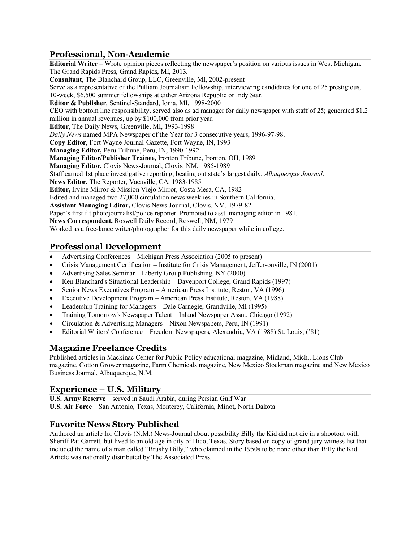#### **Professional, Non-Academic**

**Editorial Writer –** Wrote opinion pieces reflecting the newspaper's position on various issues in West Michigan. The Grand Rapids Press, Grand Rapids, MI, 2013**. Consultant**, The Blanchard Group, LLC, Greenville, MI, 2002-present Serve as a representative of the Pulliam Journalism Fellowship, interviewing candidates for one of 25 prestigious, 10-week, \$6,500 summer fellowships at either Arizona Republic or Indy Star. **Editor & Publisher**, Sentinel-Standard, Ionia, MI, 1998-2000 CEO with bottom line responsibility, served also as ad manager for daily newspaper with staff of 25; generated \$1.2 million in annual revenues, up by \$100,000 from prior year. **Editor**, The Daily News, Greenville, MI, 1993-1998 *Daily News* named MPA Newspaper of the Year for 3 consecutive years, 1996-97-98. **Copy Editor**, Fort Wayne Journal-Gazette, Fort Wayne, IN, 1993 **Managing Editor,** Peru Tribune, Peru, IN, 1990-1992 **Managing Editor/Publisher Trainee,** Ironton Tribune, Ironton, OH, 1989 **Managing Editor,** Clovis News-Journal, Clovis, NM, 1985-1989 Staff earned 1st place investigative reporting, beating out state's largest daily, *Albuquerque Journal*. **News Editor,** The Reporter, Vacaville, CA, 1983-1985 **Editor,** Irvine Mirror & Mission Viejo Mirror, Costa Mesa, CA, 1982 Edited and managed two 27,000 circulation news weeklies in Southern California. **Assistant Managing Editor,** Clovis News-Journal, Clovis, NM, 1979-82 Paper's first f-t photojournalist/police reporter. Promoted to asst. managing editor in 1981. **News Correspondent,** Roswell Daily Record, Roswell, NM, 1979 Worked as a free-lance writer/photographer for this daily newspaper while in college.

#### **Professional Development**

- Advertising Conferences Michigan Press Association (2005 to present)
- Crisis Management Certification Institute for Crisis Management, Jeffersonville, IN (2001)
- Advertising Sales Seminar Liberty Group Publishing, NY (2000)
- Ken Blanchard's Situational Leadership Davenport College, Grand Rapids (1997)
- Senior News Executives Program American Press Institute, Reston, VA (1996)
- Executive Development Program American Press Institute, Reston, VA (1988)
- Leadership Training for Managers Dale Carnegie, Grandville, MI (1995)
- Training Tomorrow's Newspaper Talent Inland Newspaper Assn., Chicago (1992)
- Circulation & Advertising Managers Nixon Newspapers, Peru, IN (1991)
- Editorial Writers' Conference Freedom Newspapers, Alexandria, VA (1988) St. Louis, ('81)

# **Magazine Freelance Credits**

Published articles in Mackinac Center for Public Policy educational magazine, Midland, Mich., Lions Club magazine, Cotton Grower magazine, Farm Chemicals magazine, New Mexico Stockman magazine and New Mexico Business Journal, Albuquerque, N.M.

# **Experience – U.S. Military**

**U.S. Army Reserve** – served in Saudi Arabia, during Persian Gulf War **U.S. Air Force** – San Antonio, Texas, Monterey, California, Minot, North Dakota

# **Favorite News Story Published**

Authored an article for Clovis (N.M.) News-Journal about possibility Billy the Kid did not die in a shootout with Sheriff Pat Garrett, but lived to an old age in city of Hico, Texas. Story based on copy of grand jury witness list that included the name of a man called "Brushy Billy," who claimed in the 1950s to be none other than Billy the Kid. Article was nationally distributed by The Associated Press.